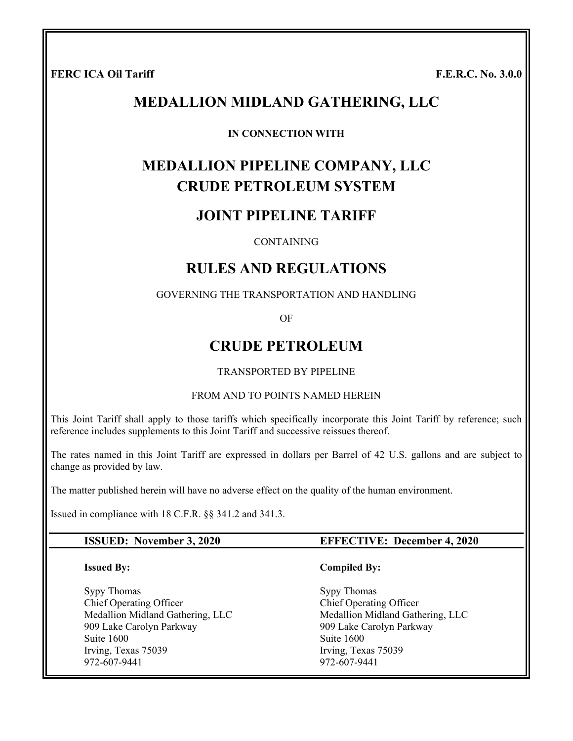**FERC ICA Oil Tariff Figure 1.1. In the set of the set of the set of the set of the set of the set of the set of the set of the set of the set of the set of the set of the set of the set of the set of the set of the set of** 

# **MEDALLION MIDLAND GATHERING, LLC**

#### **IN CONNECTION WITH**

# **MEDALLION PIPELINE COMPANY, LLC CRUDE PETROLEUM SYSTEM**

## **JOINT PIPELINE TARIFF**

#### CONTAINING

# **RULES AND REGULATIONS**

#### GOVERNING THE TRANSPORTATION AND HANDLING

OF

# **CRUDE PETROLEUM**

#### TRANSPORTED BY PIPELINE

#### FROM AND TO POINTS NAMED HEREIN

This Joint Tariff shall apply to those tariffs which specifically incorporate this Joint Tariff by reference; such reference includes supplements to this Joint Tariff and successive reissues thereof.

The rates named in this Joint Tariff are expressed in dollars per Barrel of 42 U.S. gallons and are subject to change as provided by law.

The matter published herein will have no adverse effect on the quality of the human environment.

Issued in compliance with 18 C.F.R. §§ 341.2 and 341.3.

#### **ISSUED: November 3, 2020 EFFECTIVE: December 4, 2020**

**Compiled By:** 

#### **Issued By:**

Sypy Thomas Chief Operating Officer Medallion Midland Gathering, LLC 909 Lake Carolyn Parkway Suite 1600 Irving, Texas 75039 972-607-9441

Sypy Thomas Chief Operating Officer Medallion Midland Gathering, LLC 909 Lake Carolyn Parkway Suite 1600 Irving, Texas 75039 972-607-9441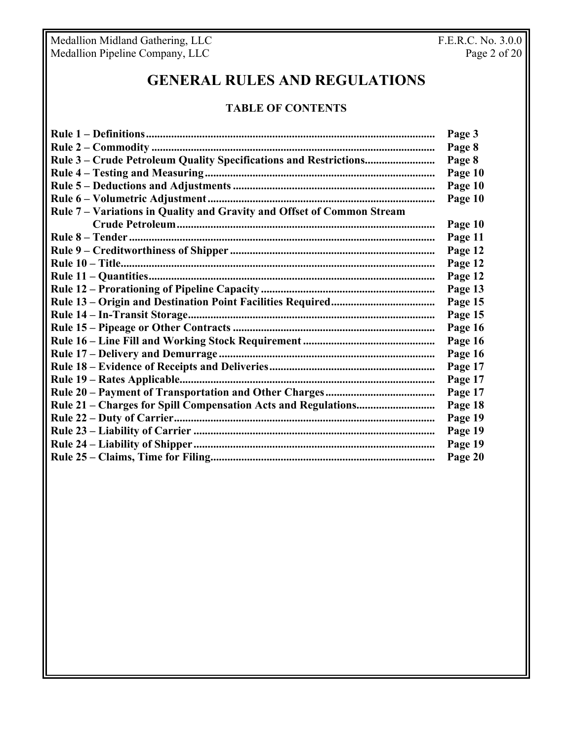Medallion Midland Gathering, LLC F.E.R.C. No. 3.0.0 Medallion Pipeline Company, LLC **Page 2 of 20** 

# **GENERAL RULES AND REGULATIONS**

#### **TABLE OF CONTENTS**

| Rule 7 - Variations in Quality and Gravity and Offset of Common Stream | Page 8<br>Page 8<br>Page 10<br>Page 10<br>Page 10<br>Page 10<br>Page 11 |
|------------------------------------------------------------------------|-------------------------------------------------------------------------|
|                                                                        |                                                                         |
|                                                                        |                                                                         |
|                                                                        |                                                                         |
|                                                                        |                                                                         |
|                                                                        |                                                                         |
|                                                                        |                                                                         |
|                                                                        |                                                                         |
|                                                                        |                                                                         |
|                                                                        | Page 12                                                                 |
|                                                                        | Page 12                                                                 |
|                                                                        | Page 12                                                                 |
|                                                                        | Page 13                                                                 |
|                                                                        | Page 15                                                                 |
|                                                                        | Page 15                                                                 |
|                                                                        | Page 16                                                                 |
|                                                                        | Page 16                                                                 |
|                                                                        | Page 16                                                                 |
|                                                                        | Page 17                                                                 |
|                                                                        | Page 17                                                                 |
|                                                                        | Page 17                                                                 |
|                                                                        | Page 18                                                                 |
|                                                                        | Page 19                                                                 |
|                                                                        |                                                                         |
|                                                                        | Page 19                                                                 |
| Page 20                                                                | Page 19                                                                 |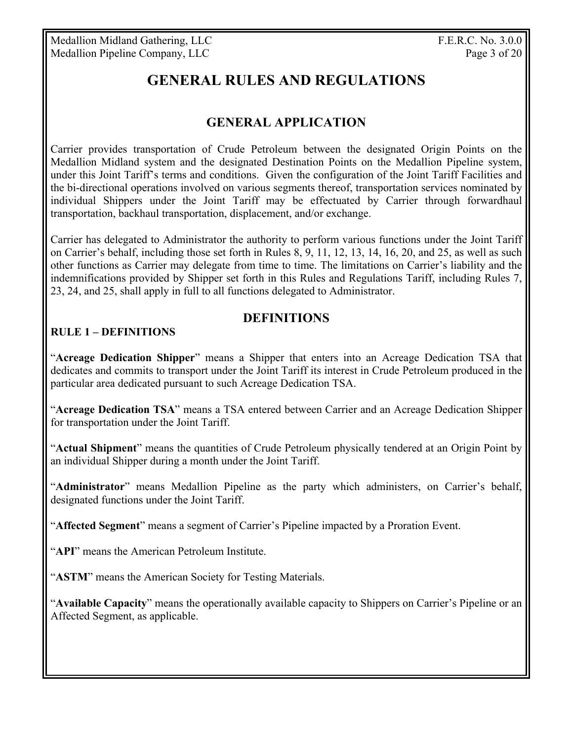Medallion Midland Gathering, LLC F.E.R.C. No. 3.0.0 Medallion Pipeline Company, LLC Page 3 of 20

# **GENERAL RULES AND REGULATIONS**

# **GENERAL APPLICATION**

Carrier provides transportation of Crude Petroleum between the designated Origin Points on the Medallion Midland system and the designated Destination Points on the Medallion Pipeline system, under this Joint Tariff's terms and conditions. Given the configuration of the Joint Tariff Facilities and the bi-directional operations involved on various segments thereof, transportation services nominated by individual Shippers under the Joint Tariff may be effectuated by Carrier through forwardhaul transportation, backhaul transportation, displacement, and/or exchange.

Carrier has delegated to Administrator the authority to perform various functions under the Joint Tariff on Carrier's behalf, including those set forth in Rules 8, 9, 11, 12, 13, 14, 16, 20, and 25, as well as such other functions as Carrier may delegate from time to time. The limitations on Carrier's liability and the indemnifications provided by Shipper set forth in this Rules and Regulations Tariff, including Rules 7, 23, 24, and 25, shall apply in full to all functions delegated to Administrator.

## **DEFINITIONS**

#### **RULE 1 – DEFINITIONS**

"**Acreage Dedication Shipper**" means a Shipper that enters into an Acreage Dedication TSA that dedicates and commits to transport under the Joint Tariff its interest in Crude Petroleum produced in the particular area dedicated pursuant to such Acreage Dedication TSA.

"**Acreage Dedication TSA**" means a TSA entered between Carrier and an Acreage Dedication Shipper for transportation under the Joint Tariff.

"**Actual Shipment**" means the quantities of Crude Petroleum physically tendered at an Origin Point by an individual Shipper during a month under the Joint Tariff.

"**Administrator**" means Medallion Pipeline as the party which administers, on Carrier's behalf, designated functions under the Joint Tariff.

"**Affected Segment**" means a segment of Carrier's Pipeline impacted by a Proration Event.

"**API**" means the American Petroleum Institute.

"**ASTM**" means the American Society for Testing Materials.

"**Available Capacity**" means the operationally available capacity to Shippers on Carrier's Pipeline or an Affected Segment, as applicable.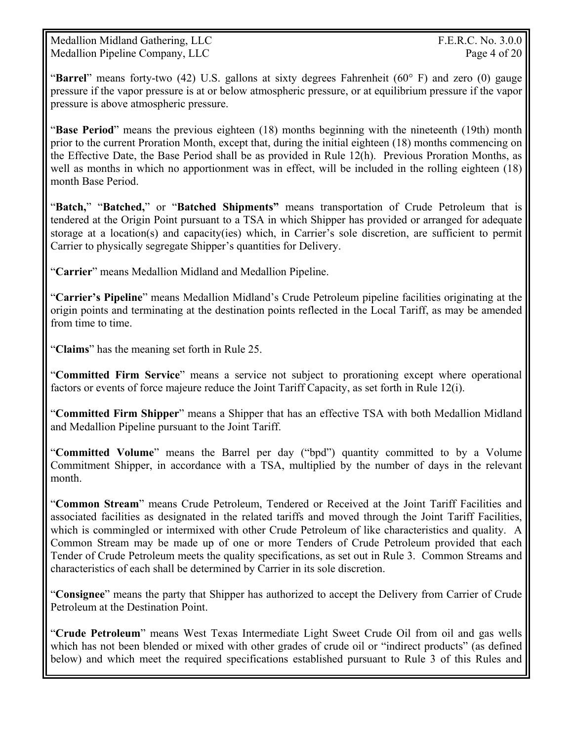Medallion Midland Gathering, LLC F.E.R.C. No. 3.0.0 Medallion Pipeline Company, LLC Page 4 of 20

"**Barrel**" means forty-two (42) U.S. gallons at sixty degrees Fahrenheit (60° F) and zero (0) gauge pressure if the vapor pressure is at or below atmospheric pressure, or at equilibrium pressure if the vapor pressure is above atmospheric pressure.

"**Base Period**" means the previous eighteen (18) months beginning with the nineteenth (19th) month prior to the current Proration Month, except that, during the initial eighteen (18) months commencing on the Effective Date, the Base Period shall be as provided in Rule 12(h). Previous Proration Months, as well as months in which no apportionment was in effect, will be included in the rolling eighteen (18) month Base Period.

"**Batch,**" "**Batched,**" or "**Batched Shipments"** means transportation of Crude Petroleum that is tendered at the Origin Point pursuant to a TSA in which Shipper has provided or arranged for adequate storage at a location(s) and capacity(ies) which, in Carrier's sole discretion, are sufficient to permit Carrier to physically segregate Shipper's quantities for Delivery.

"**Carrier**" means Medallion Midland and Medallion Pipeline.

"**Carrier's Pipeline**" means Medallion Midland's Crude Petroleum pipeline facilities originating at the origin points and terminating at the destination points reflected in the Local Tariff, as may be amended from time to time.

"**Claims**" has the meaning set forth in Rule 25.

"**Committed Firm Service**" means a service not subject to prorationing except where operational factors or events of force majeure reduce the Joint Tariff Capacity, as set forth in Rule 12(i).

"**Committed Firm Shipper**" means a Shipper that has an effective TSA with both Medallion Midland and Medallion Pipeline pursuant to the Joint Tariff.

"**Committed Volume**" means the Barrel per day ("bpd") quantity committed to by a Volume Commitment Shipper, in accordance with a TSA, multiplied by the number of days in the relevant month.

"**Common Stream**" means Crude Petroleum, Tendered or Received at the Joint Tariff Facilities and associated facilities as designated in the related tariffs and moved through the Joint Tariff Facilities, which is commingled or intermixed with other Crude Petroleum of like characteristics and quality. A Common Stream may be made up of one or more Tenders of Crude Petroleum provided that each Tender of Crude Petroleum meets the quality specifications, as set out in Rule 3. Common Streams and characteristics of each shall be determined by Carrier in its sole discretion.

"**Consignee**" means the party that Shipper has authorized to accept the Delivery from Carrier of Crude Petroleum at the Destination Point.

"**Crude Petroleum**" means West Texas Intermediate Light Sweet Crude Oil from oil and gas wells which has not been blended or mixed with other grades of crude oil or "indirect products" (as defined below) and which meet the required specifications established pursuant to Rule 3 of this Rules and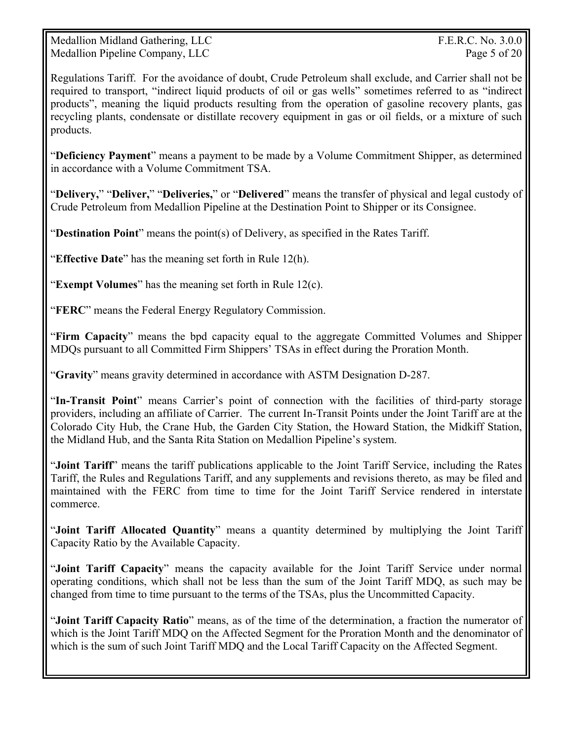Medallion Midland Gathering, LLC **F.E.R.C. No. 3.0.0** Medallion Pipeline Company, LLC Page 5 of 20

Regulations Tariff. For the avoidance of doubt, Crude Petroleum shall exclude, and Carrier shall not be required to transport, "indirect liquid products of oil or gas wells" sometimes referred to as "indirect products", meaning the liquid products resulting from the operation of gasoline recovery plants, gas recycling plants, condensate or distillate recovery equipment in gas or oil fields, or a mixture of such products.

"**Deficiency Payment**" means a payment to be made by a Volume Commitment Shipper, as determined in accordance with a Volume Commitment TSA.

"**Delivery,**" "**Deliver,**" "**Deliveries,**" or "**Delivered**" means the transfer of physical and legal custody of Crude Petroleum from Medallion Pipeline at the Destination Point to Shipper or its Consignee.

"**Destination Point**" means the point(s) of Delivery, as specified in the Rates Tariff.

"**Effective Date**" has the meaning set forth in Rule 12(h).

"**Exempt Volumes**" has the meaning set forth in Rule 12(c).

"**FERC**" means the Federal Energy Regulatory Commission.

"**Firm Capacity**" means the bpd capacity equal to the aggregate Committed Volumes and Shipper MDQs pursuant to all Committed Firm Shippers' TSAs in effect during the Proration Month.

"**Gravity**" means gravity determined in accordance with ASTM Designation D-287.

"**In-Transit Point**" means Carrier's point of connection with the facilities of third-party storage providers, including an affiliate of Carrier. The current In-Transit Points under the Joint Tariff are at the Colorado City Hub, the Crane Hub, the Garden City Station, the Howard Station, the Midkiff Station, the Midland Hub, and the Santa Rita Station on Medallion Pipeline's system.

"**Joint Tariff**" means the tariff publications applicable to the Joint Tariff Service, including the Rates Tariff, the Rules and Regulations Tariff, and any supplements and revisions thereto, as may be filed and maintained with the FERC from time to time for the Joint Tariff Service rendered in interstate commerce.

"**Joint Tariff Allocated Quantity**" means a quantity determined by multiplying the Joint Tariff Capacity Ratio by the Available Capacity.

"**Joint Tariff Capacity**" means the capacity available for the Joint Tariff Service under normal operating conditions, which shall not be less than the sum of the Joint Tariff MDQ, as such may be changed from time to time pursuant to the terms of the TSAs, plus the Uncommitted Capacity.

"**Joint Tariff Capacity Ratio**" means, as of the time of the determination, a fraction the numerator of which is the Joint Tariff MDQ on the Affected Segment for the Proration Month and the denominator of which is the sum of such Joint Tariff MDQ and the Local Tariff Capacity on the Affected Segment.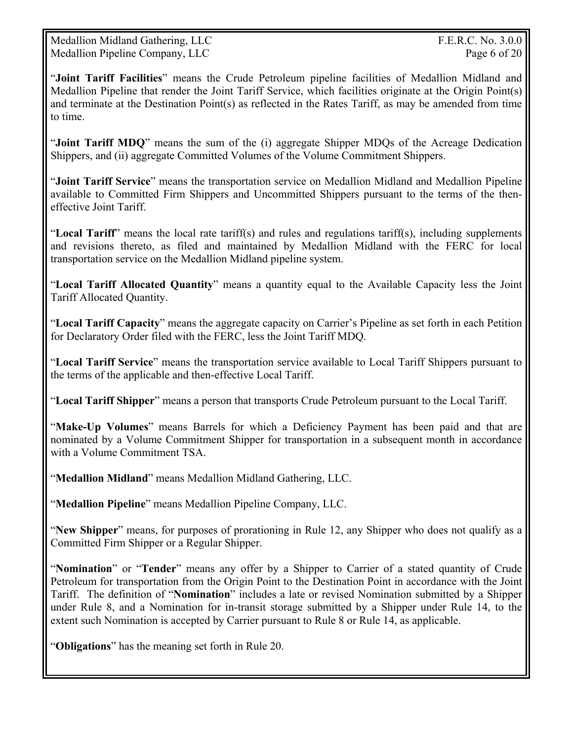Medallion Midland Gathering, LLC **F.E.R.C. No. 3.0.0** Medallion Pipeline Company, LLC Page 6 of 20

"**Joint Tariff Facilities**" means the Crude Petroleum pipeline facilities of Medallion Midland and Medallion Pipeline that render the Joint Tariff Service, which facilities originate at the Origin Point(s) and terminate at the Destination Point(s) as reflected in the Rates Tariff, as may be amended from time to time.

"**Joint Tariff MDQ**" means the sum of the (i) aggregate Shipper MDQs of the Acreage Dedication Shippers, and (ii) aggregate Committed Volumes of the Volume Commitment Shippers.

"**Joint Tariff Service**" means the transportation service on Medallion Midland and Medallion Pipeline available to Committed Firm Shippers and Uncommitted Shippers pursuant to the terms of the theneffective Joint Tariff.

"**Local Tariff**" means the local rate tariff(s) and rules and regulations tariff(s), including supplements and revisions thereto, as filed and maintained by Medallion Midland with the FERC for local transportation service on the Medallion Midland pipeline system.

"**Local Tariff Allocated Quantity**" means a quantity equal to the Available Capacity less the Joint Tariff Allocated Quantity.

"**Local Tariff Capacity**" means the aggregate capacity on Carrier's Pipeline as set forth in each Petition for Declaratory Order filed with the FERC, less the Joint Tariff MDQ.

"**Local Tariff Service**" means the transportation service available to Local Tariff Shippers pursuant to the terms of the applicable and then-effective Local Tariff.

"**Local Tariff Shipper**" means a person that transports Crude Petroleum pursuant to the Local Tariff.

"**Make-Up Volumes**" means Barrels for which a Deficiency Payment has been paid and that are nominated by a Volume Commitment Shipper for transportation in a subsequent month in accordance with a Volume Commitment TSA.

"**Medallion Midland**" means Medallion Midland Gathering, LLC.

"**Medallion Pipeline**" means Medallion Pipeline Company, LLC.

"**New Shipper**" means, for purposes of prorationing in Rule 12, any Shipper who does not qualify as a Committed Firm Shipper or a Regular Shipper.

"**Nomination**" or "**Tender**" means any offer by a Shipper to Carrier of a stated quantity of Crude Petroleum for transportation from the Origin Point to the Destination Point in accordance with the Joint Tariff. The definition of "**Nomination**" includes a late or revised Nomination submitted by a Shipper under Rule 8, and a Nomination for in-transit storage submitted by a Shipper under Rule 14, to the extent such Nomination is accepted by Carrier pursuant to Rule 8 or Rule 14, as applicable.

"**Obligations**" has the meaning set forth in Rule 20.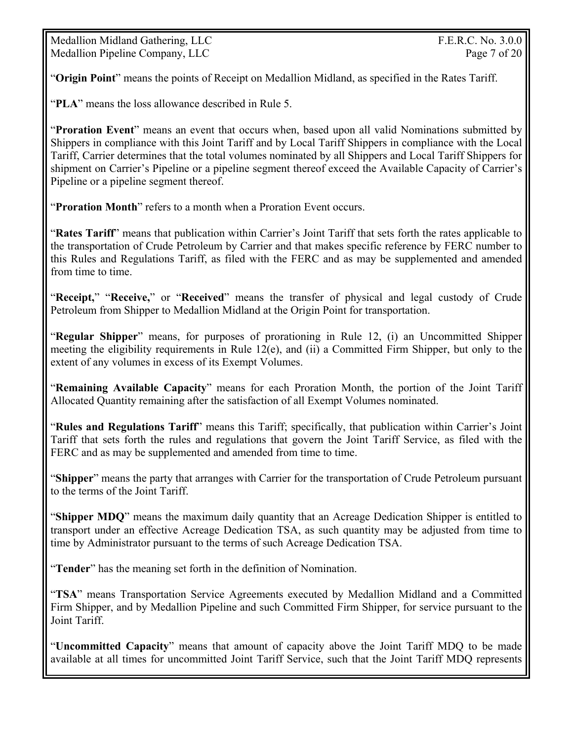Medallion Midland Gathering, LLC F.E.R.C. No. 3.0.0 Medallion Pipeline Company, LLC Page 7 of 20

"**Origin Point**" means the points of Receipt on Medallion Midland, as specified in the Rates Tariff.

"**PLA**" means the loss allowance described in Rule 5.

"**Proration Event**" means an event that occurs when, based upon all valid Nominations submitted by Shippers in compliance with this Joint Tariff and by Local Tariff Shippers in compliance with the Local Tariff, Carrier determines that the total volumes nominated by all Shippers and Local Tariff Shippers for shipment on Carrier's Pipeline or a pipeline segment thereof exceed the Available Capacity of Carrier's Pipeline or a pipeline segment thereof.

"**Proration Month**" refers to a month when a Proration Event occurs.

"**Rates Tariff**" means that publication within Carrier's Joint Tariff that sets forth the rates applicable to the transportation of Crude Petroleum by Carrier and that makes specific reference by FERC number to this Rules and Regulations Tariff, as filed with the FERC and as may be supplemented and amended from time to time.

"**Receipt,**" "**Receive,**" or "**Received**" means the transfer of physical and legal custody of Crude Petroleum from Shipper to Medallion Midland at the Origin Point for transportation.

"**Regular Shipper**" means, for purposes of prorationing in Rule 12, (i) an Uncommitted Shipper meeting the eligibility requirements in Rule 12(e), and (ii) a Committed Firm Shipper, but only to the extent of any volumes in excess of its Exempt Volumes.

"**Remaining Available Capacity**" means for each Proration Month, the portion of the Joint Tariff Allocated Quantity remaining after the satisfaction of all Exempt Volumes nominated.

"**Rules and Regulations Tariff**" means this Tariff; specifically, that publication within Carrier's Joint Tariff that sets forth the rules and regulations that govern the Joint Tariff Service, as filed with the FERC and as may be supplemented and amended from time to time.

"**Shipper**" means the party that arranges with Carrier for the transportation of Crude Petroleum pursuant to the terms of the Joint Tariff.

"**Shipper MDQ**" means the maximum daily quantity that an Acreage Dedication Shipper is entitled to transport under an effective Acreage Dedication TSA, as such quantity may be adjusted from time to time by Administrator pursuant to the terms of such Acreage Dedication TSA.

"**Tender**" has the meaning set forth in the definition of Nomination.

"**TSA**" means Transportation Service Agreements executed by Medallion Midland and a Committed Firm Shipper, and by Medallion Pipeline and such Committed Firm Shipper, for service pursuant to the Joint Tariff.

"**Uncommitted Capacity**" means that amount of capacity above the Joint Tariff MDQ to be made available at all times for uncommitted Joint Tariff Service, such that the Joint Tariff MDQ represents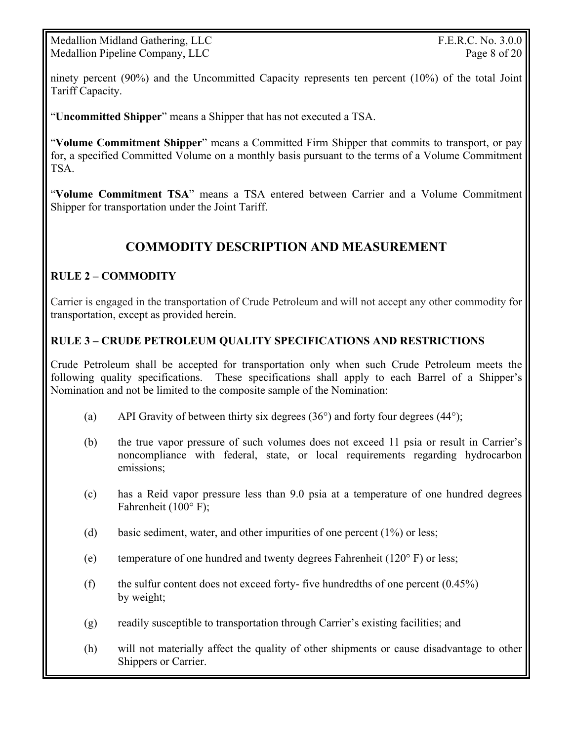Medallion Midland Gathering, LLC **F.E.R.C. No. 3.0.0** Medallion Pipeline Company, LLC Page 8 of 20

ninety percent (90%) and the Uncommitted Capacity represents ten percent (10%) of the total Joint Tariff Capacity.

"**Uncommitted Shipper**" means a Shipper that has not executed a TSA.

"**Volume Commitment Shipper**" means a Committed Firm Shipper that commits to transport, or pay for, a specified Committed Volume on a monthly basis pursuant to the terms of a Volume Commitment TSA.

"**Volume Commitment TSA**" means a TSA entered between Carrier and a Volume Commitment Shipper for transportation under the Joint Tariff.

## **COMMODITY DESCRIPTION AND MEASUREMENT**

#### **RULE 2 – COMMODITY**

Carrier is engaged in the transportation of Crude Petroleum and will not accept any other commodity for transportation, except as provided herein.

#### **RULE 3 – CRUDE PETROLEUM QUALITY SPECIFICATIONS AND RESTRICTIONS**

Crude Petroleum shall be accepted for transportation only when such Crude Petroleum meets the following quality specifications. These specifications shall apply to each Barrel of a Shipper's Nomination and not be limited to the composite sample of the Nomination:

- (a) API Gravity of between thirty six degrees  $(36^{\circ})$  and forty four degrees  $(44^{\circ})$ ;
- (b) the true vapor pressure of such volumes does not exceed 11 psia or result in Carrier's noncompliance with federal, state, or local requirements regarding hydrocarbon emissions;
- (c) has a Reid vapor pressure less than 9.0 psia at a temperature of one hundred degrees Fahrenheit (100° F);
- (d) basic sediment, water, and other impurities of one percent (1%) or less;
- (e) temperature of one hundred and twenty degrees Fahrenheit ( $120^\circ$  F) or less;
- (f) the sulfur content does not exceed forty- five hundredths of one percent  $(0.45\%)$ by weight;
- (g) readily susceptible to transportation through Carrier's existing facilities; and
- (h) will not materially affect the quality of other shipments or cause disadvantage to other Shippers or Carrier.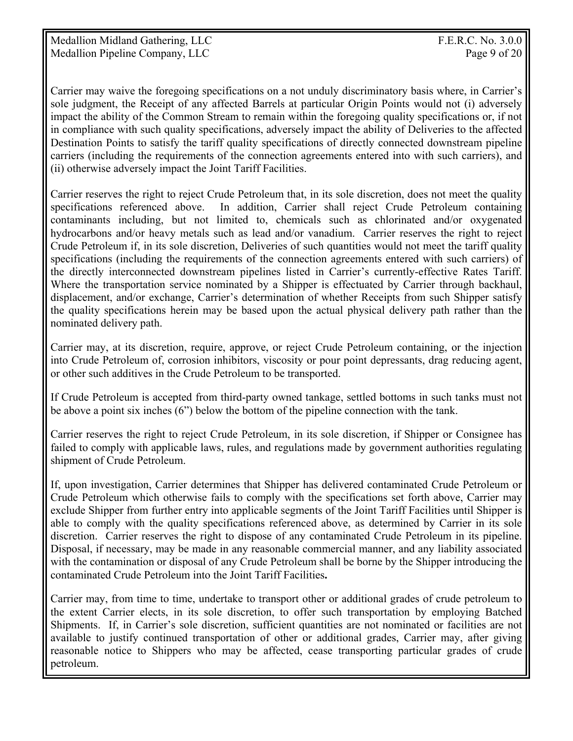Carrier may waive the foregoing specifications on a not unduly discriminatory basis where, in Carrier's sole judgment, the Receipt of any affected Barrels at particular Origin Points would not (i) adversely impact the ability of the Common Stream to remain within the foregoing quality specifications or, if not in compliance with such quality specifications, adversely impact the ability of Deliveries to the affected Destination Points to satisfy the tariff quality specifications of directly connected downstream pipeline carriers (including the requirements of the connection agreements entered into with such carriers), and (ii) otherwise adversely impact the Joint Tariff Facilities.

Carrier reserves the right to reject Crude Petroleum that, in its sole discretion, does not meet the quality specifications referenced above. In addition, Carrier shall reject Crude Petroleum containing contaminants including, but not limited to, chemicals such as chlorinated and/or oxygenated hydrocarbons and/or heavy metals such as lead and/or vanadium. Carrier reserves the right to reject Crude Petroleum if, in its sole discretion, Deliveries of such quantities would not meet the tariff quality specifications (including the requirements of the connection agreements entered with such carriers) of the directly interconnected downstream pipelines listed in Carrier's currently-effective Rates Tariff. Where the transportation service nominated by a Shipper is effectuated by Carrier through backhaul, displacement, and/or exchange, Carrier's determination of whether Receipts from such Shipper satisfy the quality specifications herein may be based upon the actual physical delivery path rather than the nominated delivery path.

Carrier may, at its discretion, require, approve, or reject Crude Petroleum containing, or the injection into Crude Petroleum of, corrosion inhibitors, viscosity or pour point depressants, drag reducing agent, or other such additives in the Crude Petroleum to be transported.

If Crude Petroleum is accepted from third-party owned tankage, settled bottoms in such tanks must not be above a point six inches (6") below the bottom of the pipeline connection with the tank.

Carrier reserves the right to reject Crude Petroleum, in its sole discretion, if Shipper or Consignee has failed to comply with applicable laws, rules, and regulations made by government authorities regulating shipment of Crude Petroleum.

If, upon investigation, Carrier determines that Shipper has delivered contaminated Crude Petroleum or Crude Petroleum which otherwise fails to comply with the specifications set forth above, Carrier may exclude Shipper from further entry into applicable segments of the Joint Tariff Facilities until Shipper is able to comply with the quality specifications referenced above, as determined by Carrier in its sole discretion. Carrier reserves the right to dispose of any contaminated Crude Petroleum in its pipeline. Disposal, if necessary, may be made in any reasonable commercial manner, and any liability associated with the contamination or disposal of any Crude Petroleum shall be borne by the Shipper introducing the contaminated Crude Petroleum into the Joint Tariff Facilities**.**

Carrier may, from time to time, undertake to transport other or additional grades of crude petroleum to the extent Carrier elects, in its sole discretion, to offer such transportation by employing Batched Shipments. If, in Carrier's sole discretion, sufficient quantities are not nominated or facilities are not available to justify continued transportation of other or additional grades, Carrier may, after giving reasonable notice to Shippers who may be affected, cease transporting particular grades of crude petroleum.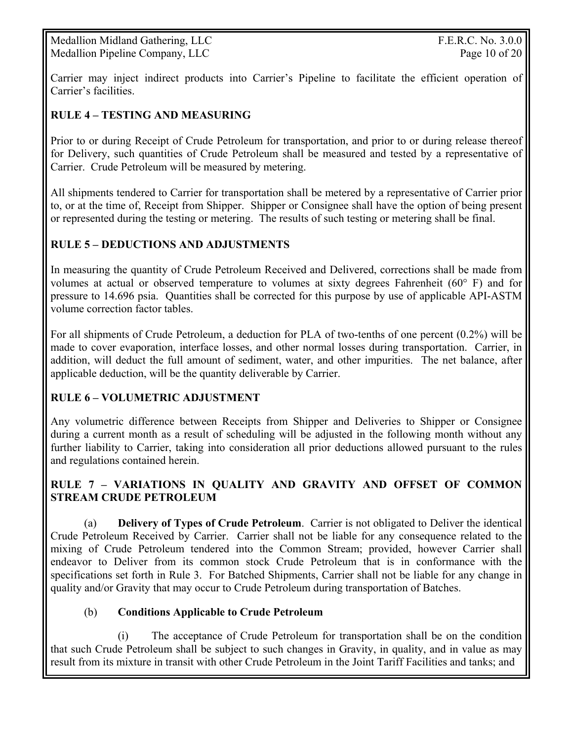Medallion Midland Gathering, LLC F.E.R.C. No. 3.0.0 Medallion Pipeline Company, LLC Page 10 of 20

Carrier may inject indirect products into Carrier's Pipeline to facilitate the efficient operation of Carrier's facilities.

#### **RULE 4 – TESTING AND MEASURING**

Prior to or during Receipt of Crude Petroleum for transportation, and prior to or during release thereof for Delivery, such quantities of Crude Petroleum shall be measured and tested by a representative of Carrier. Crude Petroleum will be measured by metering.

All shipments tendered to Carrier for transportation shall be metered by a representative of Carrier prior to, or at the time of, Receipt from Shipper. Shipper or Consignee shall have the option of being present or represented during the testing or metering. The results of such testing or metering shall be final.

#### **RULE 5 – DEDUCTIONS AND ADJUSTMENTS**

In measuring the quantity of Crude Petroleum Received and Delivered, corrections shall be made from volumes at actual or observed temperature to volumes at sixty degrees Fahrenheit (60° F) and for pressure to 14.696 psia. Quantities shall be corrected for this purpose by use of applicable API-ASTM volume correction factor tables.

For all shipments of Crude Petroleum, a deduction for PLA of two-tenths of one percent (0.2%) will be made to cover evaporation, interface losses, and other normal losses during transportation. Carrier, in addition, will deduct the full amount of sediment, water, and other impurities. The net balance, after applicable deduction, will be the quantity deliverable by Carrier.

#### **RULE 6 – VOLUMETRIC ADJUSTMENT**

Any volumetric difference between Receipts from Shipper and Deliveries to Shipper or Consignee during a current month as a result of scheduling will be adjusted in the following month without any further liability to Carrier, taking into consideration all prior deductions allowed pursuant to the rules and regulations contained herein.

#### **RULE 7 – VARIATIONS IN QUALITY AND GRAVITY AND OFFSET OF COMMON STREAM CRUDE PETROLEUM**

(a) **Delivery of Types of Crude Petroleum**. Carrier is not obligated to Deliver the identical Crude Petroleum Received by Carrier. Carrier shall not be liable for any consequence related to the mixing of Crude Petroleum tendered into the Common Stream; provided, however Carrier shall endeavor to Deliver from its common stock Crude Petroleum that is in conformance with the specifications set forth in Rule 3. For Batched Shipments, Carrier shall not be liable for any change in quality and/or Gravity that may occur to Crude Petroleum during transportation of Batches.

#### (b) **Conditions Applicable to Crude Petroleum**

 (i) The acceptance of Crude Petroleum for transportation shall be on the condition that such Crude Petroleum shall be subject to such changes in Gravity, in quality, and in value as may result from its mixture in transit with other Crude Petroleum in the Joint Tariff Facilities and tanks; and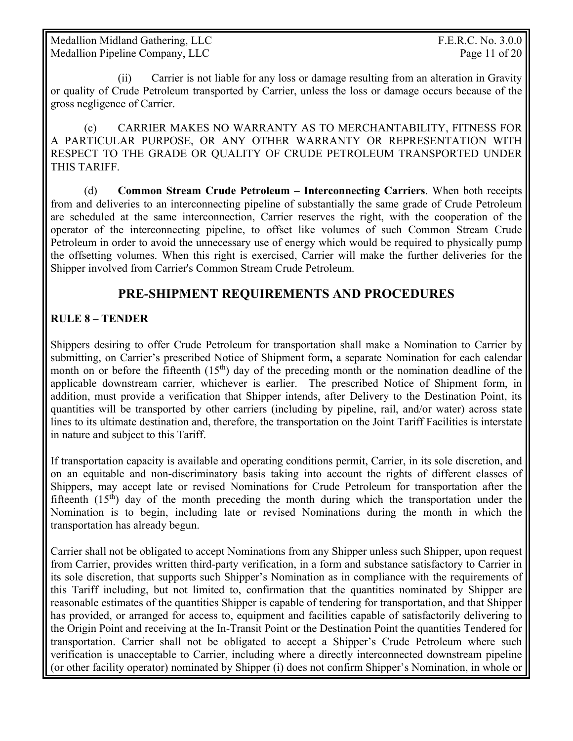Medallion Midland Gathering, LLC **F.E.R.C. No. 3.0.0** Medallion Pipeline Company, LLC Page 11 of 20

 (ii) Carrier is not liable for any loss or damage resulting from an alteration in Gravity or quality of Crude Petroleum transported by Carrier, unless the loss or damage occurs because of the gross negligence of Carrier.

 (c) CARRIER MAKES NO WARRANTY AS TO MERCHANTABILITY, FITNESS FOR A PARTICULAR PURPOSE, OR ANY OTHER WARRANTY OR REPRESENTATION WITH RESPECT TO THE GRADE OR QUALITY OF CRUDE PETROLEUM TRANSPORTED UNDER THIS TARIFF.

(d) **Common Stream Crude Petroleum – Interconnecting Carriers**. When both receipts from and deliveries to an interconnecting pipeline of substantially the same grade of Crude Petroleum are scheduled at the same interconnection, Carrier reserves the right, with the cooperation of the operator of the interconnecting pipeline, to offset like volumes of such Common Stream Crude Petroleum in order to avoid the unnecessary use of energy which would be required to physically pump the offsetting volumes. When this right is exercised, Carrier will make the further deliveries for the Shipper involved from Carrier's Common Stream Crude Petroleum.

#### **PRE-SHIPMENT REQUIREMENTS AND PROCEDURES**

#### **RULE 8 – TENDER**

Shippers desiring to offer Crude Petroleum for transportation shall make a Nomination to Carrier by submitting, on Carrier's prescribed Notice of Shipment form**,** a separate Nomination for each calendar month on or before the fifteenth  $(15<sup>th</sup>)$  day of the preceding month or the nomination deadline of the applicable downstream carrier, whichever is earlier. The prescribed Notice of Shipment form, in addition, must provide a verification that Shipper intends, after Delivery to the Destination Point, its quantities will be transported by other carriers (including by pipeline, rail, and/or water) across state lines to its ultimate destination and, therefore, the transportation on the Joint Tariff Facilities is interstate in nature and subject to this Tariff.

If transportation capacity is available and operating conditions permit, Carrier, in its sole discretion, and on an equitable and non-discriminatory basis taking into account the rights of different classes of Shippers, may accept late or revised Nominations for Crude Petroleum for transportation after the fifteenth  $(15<sup>th</sup>)$  day of the month preceding the month during which the transportation under the Nomination is to begin, including late or revised Nominations during the month in which the transportation has already begun.

Carrier shall not be obligated to accept Nominations from any Shipper unless such Shipper, upon request from Carrier, provides written third-party verification, in a form and substance satisfactory to Carrier in its sole discretion, that supports such Shipper's Nomination as in compliance with the requirements of this Tariff including, but not limited to, confirmation that the quantities nominated by Shipper are reasonable estimates of the quantities Shipper is capable of tendering for transportation, and that Shipper has provided, or arranged for access to, equipment and facilities capable of satisfactorily delivering to the Origin Point and receiving at the In-Transit Point or the Destination Point the quantities Tendered for transportation. Carrier shall not be obligated to accept a Shipper's Crude Petroleum where such verification is unacceptable to Carrier, including where a directly interconnected downstream pipeline (or other facility operator) nominated by Shipper (i) does not confirm Shipper's Nomination, in whole or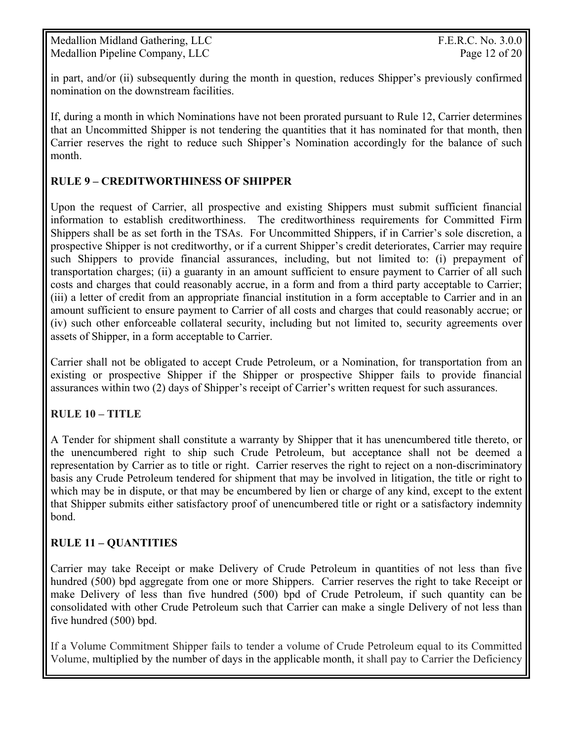Medallion Midland Gathering, LLC **F.E.R.C. No. 3.0.0** Medallion Pipeline Company, LLC Page 12 of 20

in part, and/or (ii) subsequently during the month in question, reduces Shipper's previously confirmed nomination on the downstream facilities.

If, during a month in which Nominations have not been prorated pursuant to Rule 12, Carrier determines that an Uncommitted Shipper is not tendering the quantities that it has nominated for that month, then Carrier reserves the right to reduce such Shipper's Nomination accordingly for the balance of such month.

#### **RULE 9 – CREDITWORTHINESS OF SHIPPER**

Upon the request of Carrier, all prospective and existing Shippers must submit sufficient financial information to establish creditworthiness. The creditworthiness requirements for Committed Firm Shippers shall be as set forth in the TSAs. For Uncommitted Shippers, if in Carrier's sole discretion, a prospective Shipper is not creditworthy, or if a current Shipper's credit deteriorates, Carrier may require such Shippers to provide financial assurances, including, but not limited to: (i) prepayment of transportation charges; (ii) a guaranty in an amount sufficient to ensure payment to Carrier of all such costs and charges that could reasonably accrue, in a form and from a third party acceptable to Carrier; (iii) a letter of credit from an appropriate financial institution in a form acceptable to Carrier and in an amount sufficient to ensure payment to Carrier of all costs and charges that could reasonably accrue; or (iv) such other enforceable collateral security, including but not limited to, security agreements over assets of Shipper, in a form acceptable to Carrier.

Carrier shall not be obligated to accept Crude Petroleum, or a Nomination, for transportation from an existing or prospective Shipper if the Shipper or prospective Shipper fails to provide financial assurances within two (2) days of Shipper's receipt of Carrier's written request for such assurances.

#### **RULE 10 – TITLE**

A Tender for shipment shall constitute a warranty by Shipper that it has unencumbered title thereto, or the unencumbered right to ship such Crude Petroleum, but acceptance shall not be deemed a representation by Carrier as to title or right. Carrier reserves the right to reject on a non-discriminatory basis any Crude Petroleum tendered for shipment that may be involved in litigation, the title or right to which may be in dispute, or that may be encumbered by lien or charge of any kind, except to the extent that Shipper submits either satisfactory proof of unencumbered title or right or a satisfactory indemnity bond.

#### **RULE 11 – QUANTITIES**

Carrier may take Receipt or make Delivery of Crude Petroleum in quantities of not less than five hundred (500) bpd aggregate from one or more Shippers. Carrier reserves the right to take Receipt or make Delivery of less than five hundred (500) bpd of Crude Petroleum, if such quantity can be consolidated with other Crude Petroleum such that Carrier can make a single Delivery of not less than five hundred (500) bpd.

If a Volume Commitment Shipper fails to tender a volume of Crude Petroleum equal to its Committed Volume, multiplied by the number of days in the applicable month, it shall pay to Carrier the Deficiency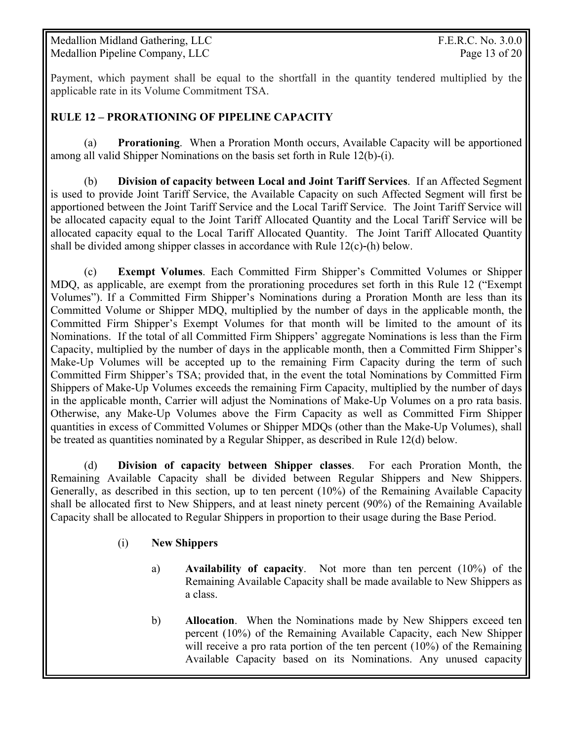Medallion Midland Gathering, LLC F.E.R.C. No. 3.0.0 Medallion Pipeline Company, LLC Page 13 of 20

Payment, which payment shall be equal to the shortfall in the quantity tendered multiplied by the applicable rate in its Volume Commitment TSA.

#### **RULE 12 – PRORATIONING OF PIPELINE CAPACITY**

 (a) **Prorationing**. When a Proration Month occurs, Available Capacity will be apportioned among all valid Shipper Nominations on the basis set forth in Rule 12(b)-(i).

(b) **Division of capacity between Local and Joint Tariff Services**. If an Affected Segment is used to provide Joint Tariff Service, the Available Capacity on such Affected Segment will first be apportioned between the Joint Tariff Service and the Local Tariff Service. The Joint Tariff Service will be allocated capacity equal to the Joint Tariff Allocated Quantity and the Local Tariff Service will be allocated capacity equal to the Local Tariff Allocated Quantity. The Joint Tariff Allocated Quantity shall be divided among shipper classes in accordance with Rule  $12(c)$ -(h) below.

 (c) **Exempt Volumes**. Each Committed Firm Shipper's Committed Volumes or Shipper MDQ, as applicable, are exempt from the prorationing procedures set forth in this Rule 12 ("Exempt Volumes"). If a Committed Firm Shipper's Nominations during a Proration Month are less than its Committed Volume or Shipper MDQ, multiplied by the number of days in the applicable month, the Committed Firm Shipper's Exempt Volumes for that month will be limited to the amount of its Nominations. If the total of all Committed Firm Shippers' aggregate Nominations is less than the Firm Capacity, multiplied by the number of days in the applicable month, then a Committed Firm Shipper's Make-Up Volumes will be accepted up to the remaining Firm Capacity during the term of such Committed Firm Shipper's TSA; provided that, in the event the total Nominations by Committed Firm Shippers of Make-Up Volumes exceeds the remaining Firm Capacity, multiplied by the number of days in the applicable month, Carrier will adjust the Nominations of Make-Up Volumes on a pro rata basis. Otherwise, any Make-Up Volumes above the Firm Capacity as well as Committed Firm Shipper quantities in excess of Committed Volumes or Shipper MDQs (other than the Make-Up Volumes), shall be treated as quantities nominated by a Regular Shipper, as described in Rule 12(d) below.

(d) **Division of capacity between Shipper classes**. For each Proration Month, the Remaining Available Capacity shall be divided between Regular Shippers and New Shippers. Generally, as described in this section, up to ten percent (10%) of the Remaining Available Capacity shall be allocated first to New Shippers, and at least ninety percent (90%) of the Remaining Available Capacity shall be allocated to Regular Shippers in proportion to their usage during the Base Period.

#### (i) **New Shippers**

- a) **Availability of capacity**. Not more than ten percent (10%) of the Remaining Available Capacity shall be made available to New Shippers as a class.
- b) **Allocation**. When the Nominations made by New Shippers exceed ten percent (10%) of the Remaining Available Capacity, each New Shipper will receive a pro rata portion of the ten percent (10%) of the Remaining Available Capacity based on its Nominations. Any unused capacity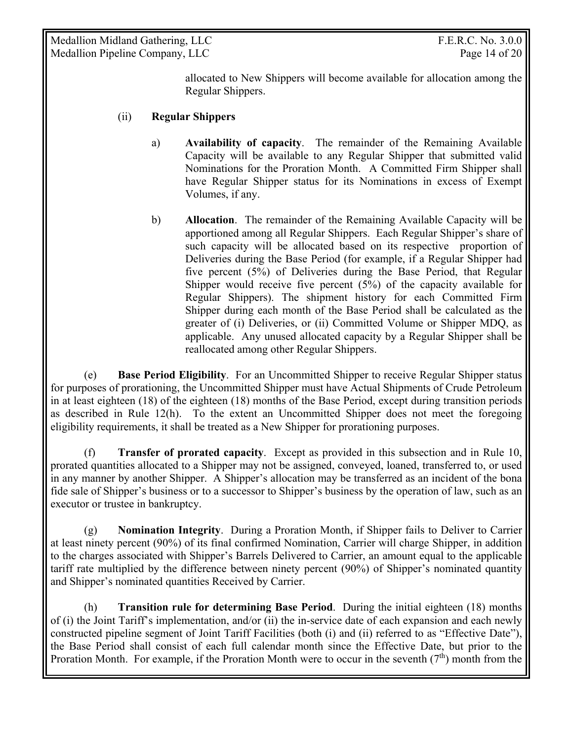Medallion Midland Gathering, LLC **F.E.R.C. No. 3.0.0** Medallion Pipeline Company, LLC Page 14 of 20

allocated to New Shippers will become available for allocation among the Regular Shippers.

#### (ii) **Regular Shippers**

- a) **Availability of capacity**. The remainder of the Remaining Available Capacity will be available to any Regular Shipper that submitted valid Nominations for the Proration Month. A Committed Firm Shipper shall have Regular Shipper status for its Nominations in excess of Exempt Volumes, if any.
- b) **Allocation**. The remainder of the Remaining Available Capacity will be apportioned among all Regular Shippers. Each Regular Shipper's share of such capacity will be allocated based on its respective proportion of Deliveries during the Base Period (for example, if a Regular Shipper had five percent (5%) of Deliveries during the Base Period, that Regular Shipper would receive five percent  $(5%)$  of the capacity available for Regular Shippers). The shipment history for each Committed Firm Shipper during each month of the Base Period shall be calculated as the greater of (i) Deliveries, or (ii) Committed Volume or Shipper MDQ, as applicable. Any unused allocated capacity by a Regular Shipper shall be reallocated among other Regular Shippers.

 (e) **Base Period Eligibility**. For an Uncommitted Shipper to receive Regular Shipper status for purposes of prorationing, the Uncommitted Shipper must have Actual Shipments of Crude Petroleum in at least eighteen (18) of the eighteen (18) months of the Base Period, except during transition periods as described in Rule 12(h). To the extent an Uncommitted Shipper does not meet the foregoing eligibility requirements, it shall be treated as a New Shipper for prorationing purposes.

 (f) **Transfer of prorated capacity**. Except as provided in this subsection and in Rule 10, prorated quantities allocated to a Shipper may not be assigned, conveyed, loaned, transferred to, or used in any manner by another Shipper. A Shipper's allocation may be transferred as an incident of the bona fide sale of Shipper's business or to a successor to Shipper's business by the operation of law, such as an executor or trustee in bankruptcy.

 (g) **Nomination Integrity**. During a Proration Month, if Shipper fails to Deliver to Carrier at least ninety percent (90%) of its final confirmed Nomination, Carrier will charge Shipper, in addition to the charges associated with Shipper's Barrels Delivered to Carrier, an amount equal to the applicable tariff rate multiplied by the difference between ninety percent (90%) of Shipper's nominated quantity and Shipper's nominated quantities Received by Carrier.

(h) **Transition rule for determining Base Period**. During the initial eighteen (18) months of (i) the Joint Tariff's implementation, and/or (ii) the in-service date of each expansion and each newly constructed pipeline segment of Joint Tariff Facilities (both (i) and (ii) referred to as "Effective Date"), the Base Period shall consist of each full calendar month since the Effective Date, but prior to the Proration Month. For example, if the Proration Month were to occur in the seventh  $(7<sup>th</sup>)$  month from the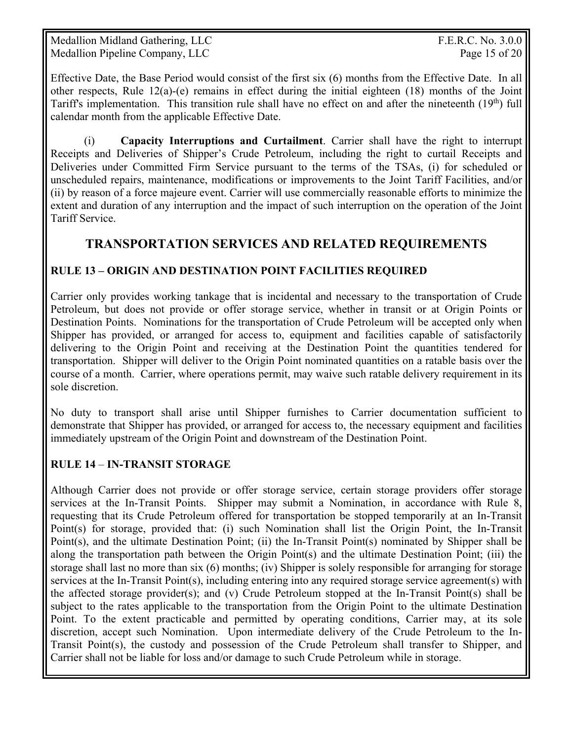Medallion Midland Gathering, LLC **F.E.R.C. No. 3.0.0** Medallion Pipeline Company, LLC Page 15 of 20

Effective Date, the Base Period would consist of the first six (6) months from the Effective Date. In all other respects, Rule  $12(a)-(e)$  remains in effect during the initial eighteen (18) months of the Joint Tariff's implementation. This transition rule shall have no effect on and after the nineteenth (19<sup>th</sup>) full calendar month from the applicable Effective Date.

(i) **Capacity Interruptions and Curtailment**. Carrier shall have the right to interrupt Receipts and Deliveries of Shipper's Crude Petroleum, including the right to curtail Receipts and Deliveries under Committed Firm Service pursuant to the terms of the TSAs, (i) for scheduled or unscheduled repairs, maintenance, modifications or improvements to the Joint Tariff Facilities, and/or (ii) by reason of a force majeure event. Carrier will use commercially reasonable efforts to minimize the extent and duration of any interruption and the impact of such interruption on the operation of the Joint Tariff Service.

## **TRANSPORTATION SERVICES AND RELATED REQUIREMENTS**

#### **RULE 13 – ORIGIN AND DESTINATION POINT FACILITIES REQUIRED**

Carrier only provides working tankage that is incidental and necessary to the transportation of Crude Petroleum, but does not provide or offer storage service, whether in transit or at Origin Points or Destination Points. Nominations for the transportation of Crude Petroleum will be accepted only when Shipper has provided, or arranged for access to, equipment and facilities capable of satisfactorily delivering to the Origin Point and receiving at the Destination Point the quantities tendered for transportation. Shipper will deliver to the Origin Point nominated quantities on a ratable basis over the course of a month. Carrier, where operations permit, may waive such ratable delivery requirement in its sole discretion.

No duty to transport shall arise until Shipper furnishes to Carrier documentation sufficient to demonstrate that Shipper has provided, or arranged for access to, the necessary equipment and facilities immediately upstream of the Origin Point and downstream of the Destination Point.

#### **RULE 14** – **IN-TRANSIT STORAGE**

Although Carrier does not provide or offer storage service, certain storage providers offer storage services at the In-Transit Points. Shipper may submit a Nomination, in accordance with Rule 8, requesting that its Crude Petroleum offered for transportation be stopped temporarily at an In-Transit Point(s) for storage, provided that: (i) such Nomination shall list the Origin Point, the In-Transit Point(s), and the ultimate Destination Point; (ii) the In-Transit Point(s) nominated by Shipper shall be along the transportation path between the Origin Point(s) and the ultimate Destination Point; (iii) the storage shall last no more than six (6) months; (iv) Shipper is solely responsible for arranging for storage services at the In-Transit Point(s), including entering into any required storage service agreement(s) with the affected storage provider(s); and (v) Crude Petroleum stopped at the In-Transit Point(s) shall be subject to the rates applicable to the transportation from the Origin Point to the ultimate Destination Point. To the extent practicable and permitted by operating conditions, Carrier may, at its sole discretion, accept such Nomination. Upon intermediate delivery of the Crude Petroleum to the In-Transit Point(s), the custody and possession of the Crude Petroleum shall transfer to Shipper, and Carrier shall not be liable for loss and/or damage to such Crude Petroleum while in storage.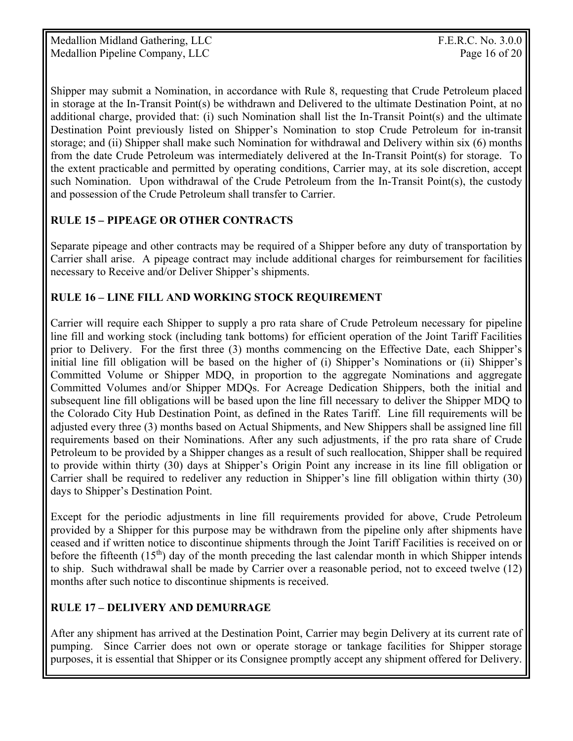Medallion Midland Gathering, LLC F.E.R.C. No. 3.0.0 Medallion Pipeline Company, LLC Page 16 of 20

Shipper may submit a Nomination, in accordance with Rule 8, requesting that Crude Petroleum placed in storage at the In-Transit Point(s) be withdrawn and Delivered to the ultimate Destination Point, at no additional charge, provided that: (i) such Nomination shall list the In-Transit Point(s) and the ultimate Destination Point previously listed on Shipper's Nomination to stop Crude Petroleum for in-transit storage; and (ii) Shipper shall make such Nomination for withdrawal and Delivery within six (6) months from the date Crude Petroleum was intermediately delivered at the In-Transit Point(s) for storage. To the extent practicable and permitted by operating conditions, Carrier may, at its sole discretion, accept such Nomination. Upon withdrawal of the Crude Petroleum from the In-Transit Point(s), the custody and possession of the Crude Petroleum shall transfer to Carrier.

#### **RULE 15** *–* **PIPEAGE OR OTHER CONTRACTS**

Separate pipeage and other contracts may be required of a Shipper before any duty of transportation by Carrier shall arise. A pipeage contract may include additional charges for reimbursement for facilities necessary to Receive and/or Deliver Shipper's shipments.

#### **RULE 16 – LINE FILL AND WORKING STOCK REQUIREMENT**

Carrier will require each Shipper to supply a pro rata share of Crude Petroleum necessary for pipeline line fill and working stock (including tank bottoms) for efficient operation of the Joint Tariff Facilities prior to Delivery. For the first three (3) months commencing on the Effective Date, each Shipper's initial line fill obligation will be based on the higher of (i) Shipper's Nominations or (ii) Shipper's Committed Volume or Shipper MDQ, in proportion to the aggregate Nominations and aggregate Committed Volumes and/or Shipper MDQs. For Acreage Dedication Shippers, both the initial and subsequent line fill obligations will be based upon the line fill necessary to deliver the Shipper MDQ to the Colorado City Hub Destination Point, as defined in the Rates Tariff. Line fill requirements will be adjusted every three (3) months based on Actual Shipments, and New Shippers shall be assigned line fill requirements based on their Nominations. After any such adjustments, if the pro rata share of Crude Petroleum to be provided by a Shipper changes as a result of such reallocation, Shipper shall be required to provide within thirty (30) days at Shipper's Origin Point any increase in its line fill obligation or Carrier shall be required to redeliver any reduction in Shipper's line fill obligation within thirty (30) days to Shipper's Destination Point.

Except for the periodic adjustments in line fill requirements provided for above, Crude Petroleum provided by a Shipper for this purpose may be withdrawn from the pipeline only after shipments have ceased and if written notice to discontinue shipments through the Joint Tariff Facilities is received on or before the fifteenth  $(15<sup>th</sup>)$  day of the month preceding the last calendar month in which Shipper intends to ship. Such withdrawal shall be made by Carrier over a reasonable period, not to exceed twelve (12) months after such notice to discontinue shipments is received.

#### **RULE 17 – DELIVERY AND DEMURRAGE**

After any shipment has arrived at the Destination Point, Carrier may begin Delivery at its current rate of pumping. Since Carrier does not own or operate storage or tankage facilities for Shipper storage purposes, it is essential that Shipper or its Consignee promptly accept any shipment offered for Delivery.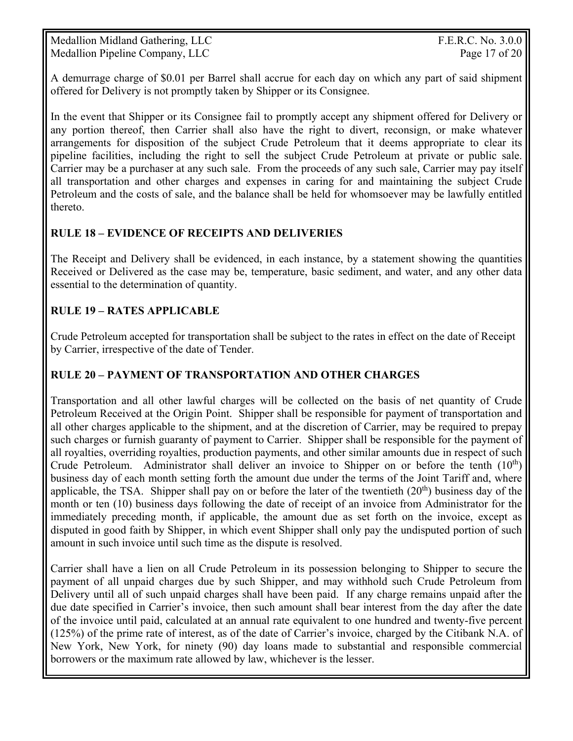Medallion Midland Gathering, LLC F.E.R.C. No. 3.0.0 Medallion Pipeline Company, LLC Page 17 of 20

A demurrage charge of \$0.01 per Barrel shall accrue for each day on which any part of said shipment offered for Delivery is not promptly taken by Shipper or its Consignee.

In the event that Shipper or its Consignee fail to promptly accept any shipment offered for Delivery or any portion thereof, then Carrier shall also have the right to divert, reconsign, or make whatever arrangements for disposition of the subject Crude Petroleum that it deems appropriate to clear its pipeline facilities, including the right to sell the subject Crude Petroleum at private or public sale. Carrier may be a purchaser at any such sale. From the proceeds of any such sale, Carrier may pay itself all transportation and other charges and expenses in caring for and maintaining the subject Crude Petroleum and the costs of sale, and the balance shall be held for whomsoever may be lawfully entitled thereto.

#### **RULE 18 – EVIDENCE OF RECEIPTS AND DELIVERIES**

The Receipt and Delivery shall be evidenced, in each instance, by a statement showing the quantities Received or Delivered as the case may be, temperature, basic sediment, and water, and any other data essential to the determination of quantity.

#### **RULE 19 – RATES APPLICABLE**

Crude Petroleum accepted for transportation shall be subject to the rates in effect on the date of Receipt by Carrier, irrespective of the date of Tender.

#### **RULE 20 – PAYMENT OF TRANSPORTATION AND OTHER CHARGES**

Transportation and all other lawful charges will be collected on the basis of net quantity of Crude Petroleum Received at the Origin Point. Shipper shall be responsible for payment of transportation and all other charges applicable to the shipment, and at the discretion of Carrier, may be required to prepay such charges or furnish guaranty of payment to Carrier. Shipper shall be responsible for the payment of all royalties, overriding royalties, production payments, and other similar amounts due in respect of such Crude Petroleum. Administrator shall deliver an invoice to Shipper on or before the tenth  $(10<sup>th</sup>)$ business day of each month setting forth the amount due under the terms of the Joint Tariff and, where applicable, the TSA. Shipper shall pay on or before the later of the twentieth  $(20<sup>th</sup>)$  business day of the month or ten (10) business days following the date of receipt of an invoice from Administrator for the immediately preceding month, if applicable, the amount due as set forth on the invoice, except as disputed in good faith by Shipper, in which event Shipper shall only pay the undisputed portion of such amount in such invoice until such time as the dispute is resolved.

Carrier shall have a lien on all Crude Petroleum in its possession belonging to Shipper to secure the payment of all unpaid charges due by such Shipper, and may withhold such Crude Petroleum from Delivery until all of such unpaid charges shall have been paid. If any charge remains unpaid after the due date specified in Carrier's invoice, then such amount shall bear interest from the day after the date of the invoice until paid, calculated at an annual rate equivalent to one hundred and twenty-five percent (125%) of the prime rate of interest, as of the date of Carrier's invoice, charged by the Citibank N.A. of New York, New York, for ninety (90) day loans made to substantial and responsible commercial borrowers or the maximum rate allowed by law, whichever is the lesser.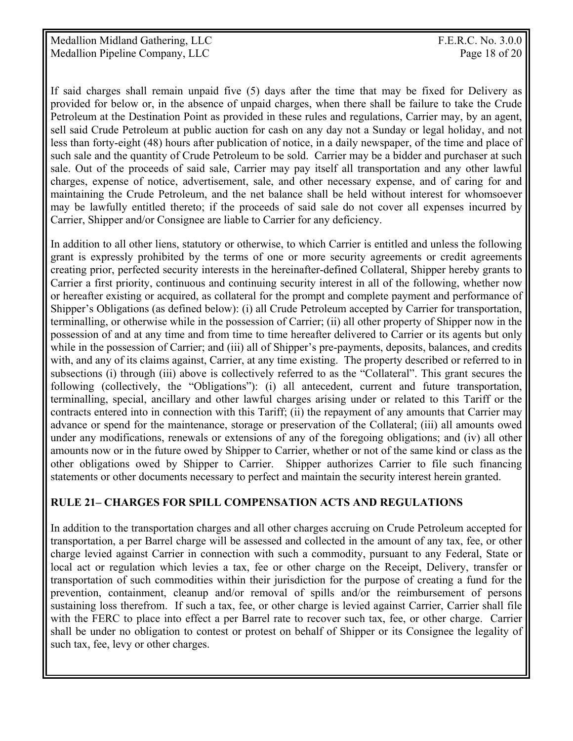If said charges shall remain unpaid five (5) days after the time that may be fixed for Delivery as provided for below or, in the absence of unpaid charges, when there shall be failure to take the Crude Petroleum at the Destination Point as provided in these rules and regulations, Carrier may, by an agent, sell said Crude Petroleum at public auction for cash on any day not a Sunday or legal holiday, and not less than forty-eight (48) hours after publication of notice, in a daily newspaper, of the time and place of such sale and the quantity of Crude Petroleum to be sold. Carrier may be a bidder and purchaser at such sale. Out of the proceeds of said sale, Carrier may pay itself all transportation and any other lawful charges, expense of notice, advertisement, sale, and other necessary expense, and of caring for and maintaining the Crude Petroleum, and the net balance shall be held without interest for whomsoever may be lawfully entitled thereto; if the proceeds of said sale do not cover all expenses incurred by Carrier, Shipper and/or Consignee are liable to Carrier for any deficiency.

In addition to all other liens, statutory or otherwise, to which Carrier is entitled and unless the following grant is expressly prohibited by the terms of one or more security agreements or credit agreements creating prior, perfected security interests in the hereinafter-defined Collateral, Shipper hereby grants to Carrier a first priority, continuous and continuing security interest in all of the following, whether now or hereafter existing or acquired, as collateral for the prompt and complete payment and performance of Shipper's Obligations (as defined below): (i) all Crude Petroleum accepted by Carrier for transportation, terminalling, or otherwise while in the possession of Carrier; (ii) all other property of Shipper now in the possession of and at any time and from time to time hereafter delivered to Carrier or its agents but only while in the possession of Carrier; and (iii) all of Shipper's pre-payments, deposits, balances, and credits with, and any of its claims against, Carrier, at any time existing. The property described or referred to in subsections (i) through (iii) above is collectively referred to as the "Collateral". This grant secures the following (collectively, the "Obligations"): (i) all antecedent, current and future transportation, terminalling, special, ancillary and other lawful charges arising under or related to this Tariff or the contracts entered into in connection with this Tariff; (ii) the repayment of any amounts that Carrier may advance or spend for the maintenance, storage or preservation of the Collateral; (iii) all amounts owed under any modifications, renewals or extensions of any of the foregoing obligations; and (iv) all other amounts now or in the future owed by Shipper to Carrier, whether or not of the same kind or class as the other obligations owed by Shipper to Carrier. Shipper authorizes Carrier to file such financing statements or other documents necessary to perfect and maintain the security interest herein granted.

#### **RULE 21– CHARGES FOR SPILL COMPENSATION ACTS AND REGULATIONS**

In addition to the transportation charges and all other charges accruing on Crude Petroleum accepted for transportation, a per Barrel charge will be assessed and collected in the amount of any tax, fee, or other charge levied against Carrier in connection with such a commodity, pursuant to any Federal, State or local act or regulation which levies a tax, fee or other charge on the Receipt, Delivery, transfer or transportation of such commodities within their jurisdiction for the purpose of creating a fund for the prevention, containment, cleanup and/or removal of spills and/or the reimbursement of persons sustaining loss therefrom. If such a tax, fee, or other charge is levied against Carrier, Carrier shall file with the FERC to place into effect a per Barrel rate to recover such tax, fee, or other charge. Carrier shall be under no obligation to contest or protest on behalf of Shipper or its Consignee the legality of such tax, fee, levy or other charges.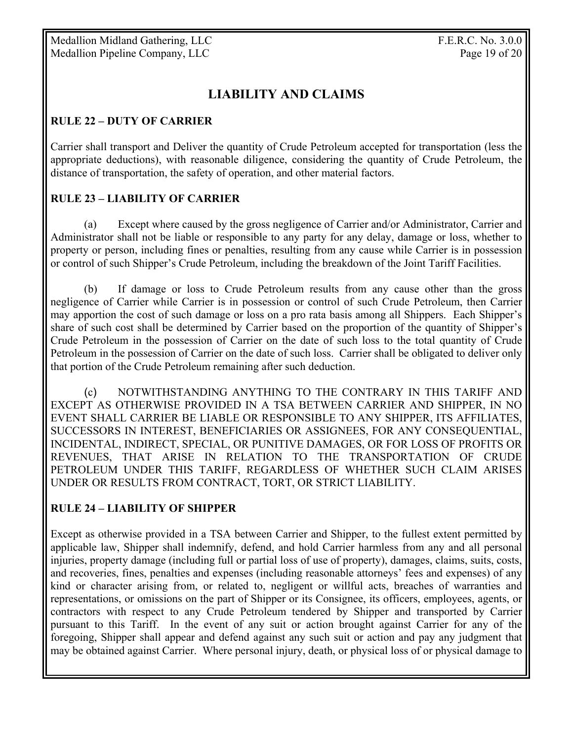# **LIABILITY AND CLAIMS**

#### **RULE 22 – DUTY OF CARRIER**

Carrier shall transport and Deliver the quantity of Crude Petroleum accepted for transportation (less the appropriate deductions), with reasonable diligence, considering the quantity of Crude Petroleum, the distance of transportation, the safety of operation, and other material factors.

#### **RULE 23 – LIABILITY OF CARRIER**

 (a) Except where caused by the gross negligence of Carrier and/or Administrator, Carrier and Administrator shall not be liable or responsible to any party for any delay, damage or loss, whether to property or person, including fines or penalties, resulting from any cause while Carrier is in possession or control of such Shipper's Crude Petroleum, including the breakdown of the Joint Tariff Facilities.

 (b) If damage or loss to Crude Petroleum results from any cause other than the gross negligence of Carrier while Carrier is in possession or control of such Crude Petroleum, then Carrier may apportion the cost of such damage or loss on a pro rata basis among all Shippers. Each Shipper's share of such cost shall be determined by Carrier based on the proportion of the quantity of Shipper's Crude Petroleum in the possession of Carrier on the date of such loss to the total quantity of Crude Petroleum in the possession of Carrier on the date of such loss. Carrier shall be obligated to deliver only that portion of the Crude Petroleum remaining after such deduction.

 (c) NOTWITHSTANDING ANYTHING TO THE CONTRARY IN THIS TARIFF AND EXCEPT AS OTHERWISE PROVIDED IN A TSA BETWEEN CARRIER AND SHIPPER, IN NO EVENT SHALL CARRIER BE LIABLE OR RESPONSIBLE TO ANY SHIPPER, ITS AFFILIATES, SUCCESSORS IN INTEREST, BENEFICIARIES OR ASSIGNEES, FOR ANY CONSEQUENTIAL, INCIDENTAL, INDIRECT, SPECIAL, OR PUNITIVE DAMAGES, OR FOR LOSS OF PROFITS OR REVENUES, THAT ARISE IN RELATION TO THE TRANSPORTATION OF CRUDE PETROLEUM UNDER THIS TARIFF, REGARDLESS OF WHETHER SUCH CLAIM ARISES UNDER OR RESULTS FROM CONTRACT, TORT, OR STRICT LIABILITY.

#### **RULE 24 – LIABILITY OF SHIPPER**

Except as otherwise provided in a TSA between Carrier and Shipper, to the fullest extent permitted by applicable law, Shipper shall indemnify, defend, and hold Carrier harmless from any and all personal injuries, property damage (including full or partial loss of use of property), damages, claims, suits, costs, and recoveries, fines, penalties and expenses (including reasonable attorneys' fees and expenses) of any kind or character arising from, or related to, negligent or willful acts, breaches of warranties and representations, or omissions on the part of Shipper or its Consignee, its officers, employees, agents, or contractors with respect to any Crude Petroleum tendered by Shipper and transported by Carrier pursuant to this Tariff. In the event of any suit or action brought against Carrier for any of the foregoing, Shipper shall appear and defend against any such suit or action and pay any judgment that may be obtained against Carrier. Where personal injury, death, or physical loss of or physical damage to